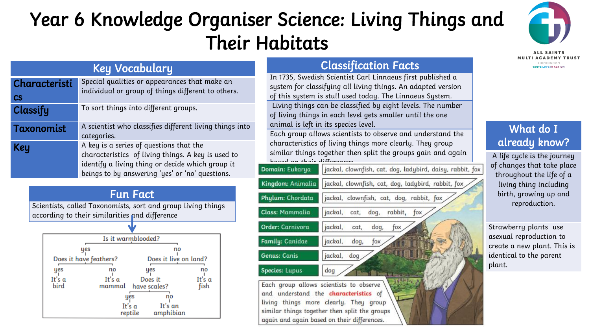## Year 6 Knowledge Organiser Science: Living Things and Their Habitats



| <b>Key Vocabulary</b> |                                                                                                                                                                                                      |  |                                                                            |
|-----------------------|------------------------------------------------------------------------------------------------------------------------------------------------------------------------------------------------------|--|----------------------------------------------------------------------------|
| Characteristi         | Special qualities or appearances that make an                                                                                                                                                        |  | In 1735, Swedis<br>system for class                                        |
| $\mathsf{CS}\,$       | individual or group of things different to others.                                                                                                                                                   |  | of this system i                                                           |
| Classify              | To sort things into different groups.                                                                                                                                                                |  | Living things c<br>of living things                                        |
| Taxonomist            | A scientist who classifies different living things into<br>categories.                                                                                                                               |  | animal is left ir<br>Each group allo                                       |
| <b>Key</b>            | A key is a series of questions that the<br>characteristics of living things. A key is used to<br>identify a living thing or decide which group it<br>beings to by answering 'yes' or 'no' questions. |  | characteristics<br>similar things t<br>hannel on thoir.<br>Domain: Eukarya |



Scientists, called Taxonomists, sort and group living things according to their similarities and difference



## Classification Facts

h Scientist Carl Linnaeus first published a sifying all living things. An adapted version s stull used today. The Linnaeus System. an be classified by eight levels. The number in each level gets smaller until the one n its species level.

ws scientists to observe and understand the of living things more clearly. They group ogether then split the groups gain and again: based on their differences.

| <b>Domain: Eukarya</b> | jackal, clownfish, cat, dog, ladybird, daisy, rabbit, fo: |
|------------------------|-----------------------------------------------------------|
| Cingdom: Animalia      | jackal, clownfish, cat, dog, ladybird, rabbit, fox        |
| hylum: Chordata        | jackal, clownfish, cat, dog, rabbit, fox                  |
| Iass: Mammalia         | jackal,<br>dog,<br>rabbit,<br>cat,<br>fox                 |
| Irder: Carnivora       | jackal,<br>dog,<br>cat,<br>fox                            |
| amily: Canidae         | jackal,<br>dog,<br>fox                                    |
| Genus: Canis           | jackal,<br>dog                                            |
| pecies: Lupus          | dog                                                       |
|                        | $\sqrt{N}$ $\sqrt{N}$ $\sqrt{N}$                          |

Each group allows scientists to observe understand the characteristics of and living things more clearly. They group similar things together then split the groups again and again based on their differences.

## What do I already know?

A life cycle is the journey of changes that take place throughout the life of a living thing including birth, growing up and reproduction.

Strawberry plants use asexual reproduction to create a new plant. This is identical to the parent plant.